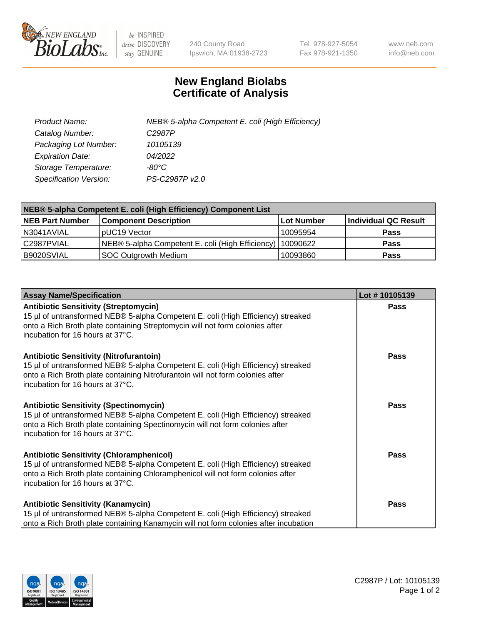

 $be$  INSPIRED drive DISCOVERY stay GENUINE

240 County Road Ipswich, MA 01938-2723 Tel 978-927-5054 Fax 978-921-1350 www.neb.com info@neb.com

## **New England Biolabs Certificate of Analysis**

| Product Name:           | NEB® 5-alpha Competent E. coli (High Efficiency) |
|-------------------------|--------------------------------------------------|
| Catalog Number:         | C <sub>2987</sub> P                              |
| Packaging Lot Number:   | 10105139                                         |
| <b>Expiration Date:</b> | 04/2022                                          |
| Storage Temperature:    | -80°C                                            |
| Specification Version:  | PS-C2987P v2.0                                   |

| NEB® 5-alpha Competent E. coli (High Efficiency) Component List |                                                             |            |                      |  |
|-----------------------------------------------------------------|-------------------------------------------------------------|------------|----------------------|--|
| <b>NEB Part Number</b>                                          | <b>Component Description</b>                                | Lot Number | Individual QC Result |  |
| N3041AVIAL                                                      | pUC19 Vector                                                | 10095954   | <b>Pass</b>          |  |
| C2987PVIAL                                                      | NEB® 5-alpha Competent E. coli (High Efficiency)   10090622 |            | <b>Pass</b>          |  |
| B9020SVIAL                                                      | SOC Outgrowth Medium                                        | 10093860   | <b>Pass</b>          |  |

| <b>Assay Name/Specification</b>                                                                                                                                                                                                                            | Lot #10105139 |
|------------------------------------------------------------------------------------------------------------------------------------------------------------------------------------------------------------------------------------------------------------|---------------|
| <b>Antibiotic Sensitivity (Streptomycin)</b><br>15 µl of untransformed NEB® 5-alpha Competent E. coli (High Efficiency) streaked<br>onto a Rich Broth plate containing Streptomycin will not form colonies after<br>incubation for 16 hours at 37°C.       | <b>Pass</b>   |
| <b>Antibiotic Sensitivity (Nitrofurantoin)</b><br>15 µl of untransformed NEB® 5-alpha Competent E. coli (High Efficiency) streaked<br>onto a Rich Broth plate containing Nitrofurantoin will not form colonies after<br>incubation for 16 hours at 37°C.   | Pass          |
| <b>Antibiotic Sensitivity (Spectinomycin)</b><br>15 µl of untransformed NEB® 5-alpha Competent E. coli (High Efficiency) streaked<br>onto a Rich Broth plate containing Spectinomycin will not form colonies after<br>incubation for 16 hours at 37°C.     | <b>Pass</b>   |
| <b>Antibiotic Sensitivity (Chloramphenicol)</b><br>15 µl of untransformed NEB® 5-alpha Competent E. coli (High Efficiency) streaked<br>onto a Rich Broth plate containing Chloramphenicol will not form colonies after<br>incubation for 16 hours at 37°C. | Pass          |
| <b>Antibiotic Sensitivity (Kanamycin)</b><br>15 µl of untransformed NEB® 5-alpha Competent E. coli (High Efficiency) streaked<br>onto a Rich Broth plate containing Kanamycin will not form colonies after incubation                                      | Pass          |